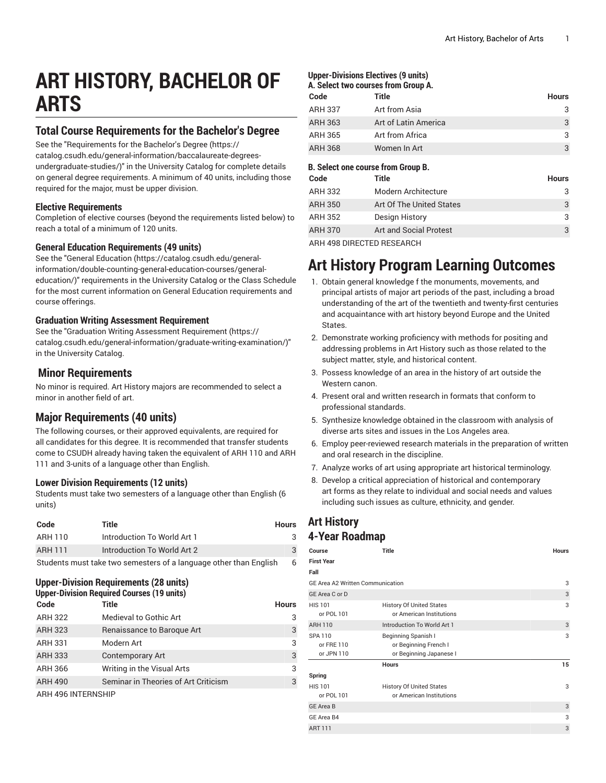# **ART HISTORY, BACHELOR OF ARTS**

# **Total Course Requirements for the Bachelor's Degree**

See the "[Requirements](https://catalog.csudh.edu/general-information/baccalaureate-degrees-undergraduate-studies/) for the Bachelor's Degree [\(https://](https://catalog.csudh.edu/general-information/baccalaureate-degrees-undergraduate-studies/) [catalog.csudh.edu/general-information/baccalaureate-degrees](https://catalog.csudh.edu/general-information/baccalaureate-degrees-undergraduate-studies/)[undergraduate-studies/\)](https://catalog.csudh.edu/general-information/baccalaureate-degrees-undergraduate-studies/)" in the University Catalog for complete details on general degree requirements. A minimum of 40 units, including those required for the major, must be upper division.

#### **Elective Requirements**

Completion of elective courses (beyond the requirements listed below) to reach a total of a minimum of 120 units.

#### **General Education Requirements (49 units)**

See the "General [Education](https://catalog.csudh.edu/general-information/double-counting-general-education-courses/general-education/) ([https://catalog.csudh.edu/general](https://catalog.csudh.edu/general-information/double-counting-general-education-courses/general-education/)[information/double-counting-general-education-courses/general](https://catalog.csudh.edu/general-information/double-counting-general-education-courses/general-education/)[education/](https://catalog.csudh.edu/general-information/double-counting-general-education-courses/general-education/))" requirements in the University Catalog or the Class Schedule for the most current information on General Education requirements and course offerings.

#### **Graduation Writing Assessment Requirement**

See the "Graduation Writing Assessment [Requirement \(https://](https://catalog.csudh.edu/general-information/graduate-writing-examination/) [catalog.csudh.edu/general-information/graduate-writing-examination/\)](https://catalog.csudh.edu/general-information/graduate-writing-examination/)" in the University Catalog.

## **Minor Requirements**

No minor is required. Art History majors are recommended to select a minor in another field of art.

# **Major Requirements (40 units)**

The following courses, or their approved equivalents, are required for all candidates for this degree. It is recommended that transfer students come to CSUDH already having taken the equivalent of ARH 110 and ARH 111 and 3-units of a language other than English.

#### **Lower Division Requirements (12 units)**

Students must take two semesters of a language other than English (6 units)

| Code           | Title                                                             | <b>Hours</b> |
|----------------|-------------------------------------------------------------------|--------------|
| ARH 110        | Introduction To World Art 1                                       |              |
| <b>ARH 111</b> | Introduction To World Art 2                                       |              |
|                | Students must take two semesters of a language other than English |              |

# **Upper-Division Requirements (28 units)**

| <b>Upper-Division Required Courses (19 units)</b> |                                      |              |  |
|---------------------------------------------------|--------------------------------------|--------------|--|
| Code                                              | Title                                | <b>Hours</b> |  |
| <b>ARH 322</b>                                    | Medieval to Gothic Art               | 3            |  |
| <b>ARH 323</b>                                    | Renaissance to Baroque Art           | 3            |  |
| ARH 331                                           | Modern Art                           | 3            |  |
| <b>ARH 333</b>                                    | <b>Contemporary Art</b>              | 3            |  |
| <b>ARH 366</b>                                    | Writing in the Visual Arts           | 3            |  |
| <b>ARH 490</b>                                    | Seminar in Theories of Art Criticism | 3            |  |
| ARH 496 INTERNSHIP                                |                                      |              |  |

#### **Upper-Divisions Electives (9 units)**

### **A. Select two courses from Group A. Code Title Hours** ARH 337 Art from Asia 3 ARH 363 Art of Latin America 3 ARH 365 Art from Africa 3 ARH 368 Women In Art 3

#### **B. Select one course from Group B.**

| Code           | Title                     | Hours |
|----------------|---------------------------|-------|
| <b>ARH 332</b> | Modern Architecture       | 3     |
| <b>ARH 350</b> | Art Of The United States  | 3     |
| <b>ARH 352</b> | Design History            | 3     |
| <b>ARH 370</b> | Art and Social Protest    | 3     |
|                | ARH AGS DIRECTED RESEARCH |       |

ARH 498 DIRECTED RESEARCH

# **Art History Program Learning Outcomes**

- 1. Obtain general knowledge f the monuments, movements, and principal artists of major art periods of the past, including a broad understanding of the art of the twentieth and twenty-first centuries and acquaintance with art history beyond Europe and the United States.
- 2. Demonstrate working proficiency with methods for positing and addressing problems in Art History such as those related to the subject matter, style, and historical content.
- 3. Possess knowledge of an area in the history of art outside the Western canon.
- 4. Present oral and written research in formats that conform to professional standards.
- 5. Synthesize knowledge obtained in the classroom with analysis of diverse arts sites and issues in the Los Angeles area.
- 6. Employ peer-reviewed research materials in the preparation of written and oral research in the discipline.
- 7. Analyze works of art using appropriate art historical terminology.
- 8. Develop a critical appreciation of historical and contemporary art forms as they relate to individual and social needs and values including such issues as culture, ethnicity, and gender.

## **Art History 4-Year Roadmap**

| Course                                     | <b>Title</b>                                                            | <b>Hours</b> |
|--------------------------------------------|-------------------------------------------------------------------------|--------------|
| <b>First Year</b>                          |                                                                         |              |
| Fall                                       |                                                                         |              |
| <b>GE Area A2 Written Communication</b>    |                                                                         | 3            |
| GE Area C or D                             |                                                                         | 3            |
| <b>HIS 101</b><br>or POL 101               | <b>History Of United States</b><br>or American Institutions             | 3            |
| <b>ARH 110</b>                             | Introduction To World Art 1                                             | 3            |
| <b>SPA 110</b><br>or FRE 110<br>or JPN 110 | Beginning Spanish I<br>or Beginning French I<br>or Beginning Japanese I | 3            |
|                                            | <b>Hours</b>                                                            | 15           |
| Spring                                     |                                                                         |              |
| <b>HIS 101</b><br>or POL 101               | <b>History Of United States</b><br>or American Institutions             | 3            |
| <b>GE Area B</b>                           |                                                                         | 3            |
| GE Area B4                                 |                                                                         | 3            |
| <b>ART 111</b>                             |                                                                         | 3            |